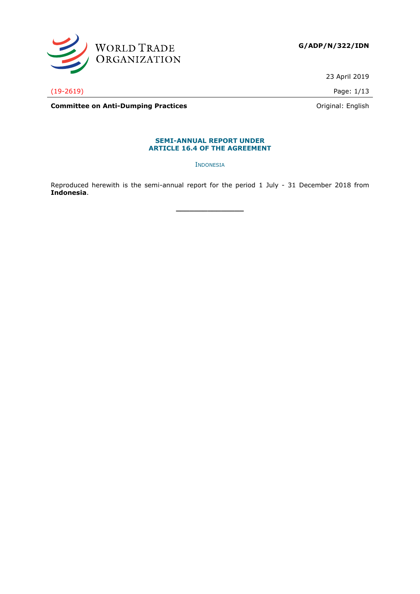

23 April 2019

(19-2619) Page: 1/13

**Committee on Anti-Dumping Practices Committee on Anti-Dumping Practices Committee on Anti-Dumping Practices** 

### **SEMI-ANNUAL REPORT UNDER ARTICLE 16.4 OF THE AGREEMENT**

INDONESIA

Reproduced herewith is the semi-annual report for the period 1 July - 31 December 2018 from **Indonesia**.

**\_\_\_\_\_\_\_\_\_\_\_\_\_\_\_**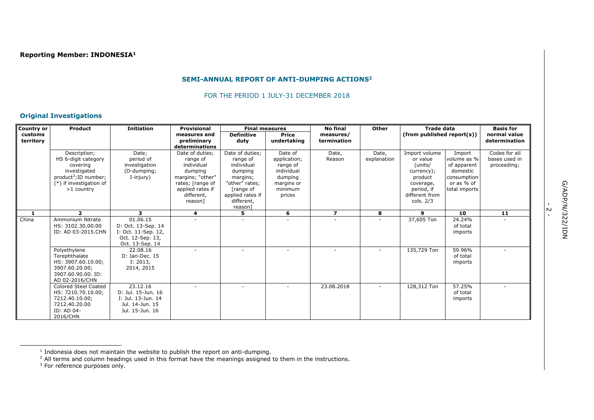# **SEMI-ANNUAL REPORT OF ANTI-DUMPING ACTIONS<sup>2</sup>**

#### FOR THE PERIOD 1 JULY-31 DECEMBER 2018

## **Original Investigations**

| Country or | <b>Product</b>                                                                                                                                | <b>Initiation</b>                                                                            | <b>Provisional</b>                                                                                                             | <b>Final measures</b>                                                                                               |                                                                                                 | <b>No final</b>         | Other                | <b>Trade data</b>                                                                                          |                                                                                                | <b>Basis for</b>                              |
|------------|-----------------------------------------------------------------------------------------------------------------------------------------------|----------------------------------------------------------------------------------------------|--------------------------------------------------------------------------------------------------------------------------------|---------------------------------------------------------------------------------------------------------------------|-------------------------------------------------------------------------------------------------|-------------------------|----------------------|------------------------------------------------------------------------------------------------------------|------------------------------------------------------------------------------------------------|-----------------------------------------------|
| customs    |                                                                                                                                               |                                                                                              | measures and                                                                                                                   | <b>Definitive</b>                                                                                                   | <b>Price</b>                                                                                    | measures/               |                      | $(from$ published report $(s)$ )                                                                           |                                                                                                | normal value                                  |
| territory  |                                                                                                                                               |                                                                                              | preliminary<br>determinations                                                                                                  | duty                                                                                                                | undertaking                                                                                     | termination             |                      |                                                                                                            |                                                                                                | determination                                 |
|            | Description;<br>HS 6-digit category<br>covering<br>investigated<br>product <sup>3</sup> ; ID number;<br>(*) if investigation of<br>>1 country | Date;<br>period of<br>investigation<br>(D-dumping;<br>I-injury)                              | Date of duties;<br>range of<br>individual<br>dumping<br>margins; "other"<br>rates; [range of<br>applied rates if<br>different, | Date of duties;<br>range of<br>individual<br>dumping<br>margins;<br>"other" rates;<br>[range of<br>applied rates if | Date of<br>application;<br>range of<br>individual<br>dumping<br>margins or<br>minimum<br>prices | Date,<br>Reason         | Date,<br>explanation | Import volume<br>or value<br>(units/<br>currency);<br>product<br>coverage,<br>period, if<br>different from | Import<br>volume as %<br>of apparent<br>domestic<br>consumption<br>or as % of<br>total imports | Codes for all<br>bases used in<br>proceeding; |
|            |                                                                                                                                               |                                                                                              | reason]                                                                                                                        | different,<br>reason                                                                                                |                                                                                                 |                         |                      | cols. $2/3$                                                                                                |                                                                                                |                                               |
|            | $\overline{2}$                                                                                                                                | 3                                                                                            | 4                                                                                                                              | 5                                                                                                                   | 6                                                                                               | $\overline{\mathbf{z}}$ | 8                    | 9                                                                                                          | 10                                                                                             | 11                                            |
| China      | Ammonium Nitrate<br>HS: 3102.30.00.00<br>ID: AD 03-2015.CHN                                                                                   | 01.06.15<br>D: Oct. 13-Sep. 14<br>I: Oct. 11-Sep. 12,<br>Oct. 12-Sep. 13,<br>Oct. 13-Sep. 14 |                                                                                                                                |                                                                                                                     |                                                                                                 |                         |                      | 37,605 Ton                                                                                                 | 24.24%<br>of total<br>imports                                                                  |                                               |
|            | Polyethylene<br>Terephthalate<br>HS: 3907.60.10.00;<br>3907.60.20.00;<br>3907.60.90.00. ID:<br>AD 02-2016/CHN                                 | 22.08.16<br>D: Jan-Dec. 15<br>I: 2013,<br>2014, 2015                                         |                                                                                                                                |                                                                                                                     |                                                                                                 |                         |                      | 135,729 Ton                                                                                                | 59.96%<br>of total<br>imports                                                                  |                                               |
|            | <b>Colored Steel Coated</b><br>HS: 7210.70.10.00;<br>7212.40.10.00;<br>7212.40.20.00<br>ID: AD 04-<br>2016/CHN                                | 23.12.16<br>D: Jul. 15-Jun. 16<br>I: Jul. 13-Jun. 14<br>Jul. 14-Jun. 15<br>Jul. 15-Jun. 16   |                                                                                                                                |                                                                                                                     |                                                                                                 | 23.08.2018              |                      | $128,312$ Ton                                                                                              | 57.25%<br>of total<br>imports                                                                  |                                               |

ł

ب<br>-

<sup>1</sup> Indonesia does not maintain the website to publish the report on anti-dumping.

 $<sup>2</sup>$  All terms and column headings used in this format have the meanings assigned to them in the instructions.</sup>

 $3$  For reference purposes only.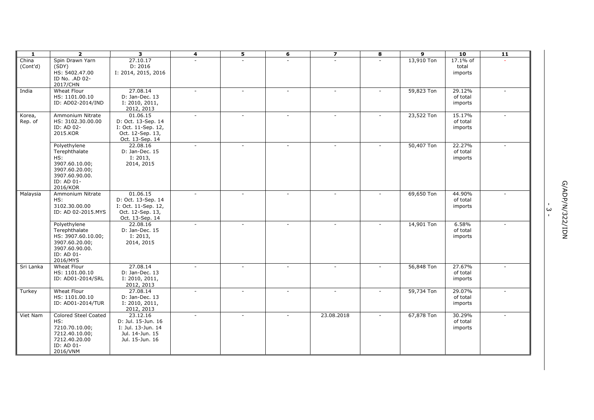| 1                 | $\overline{2}$                                                                                                       | 3                                                                                            | $\overline{\mathbf{4}}$ | 5                        | 6      | $\overline{\mathbf{z}}$ | 8      | $\overline{9}$ | $\overline{10}$               | 11     |                                                             |
|-------------------|----------------------------------------------------------------------------------------------------------------------|----------------------------------------------------------------------------------------------|-------------------------|--------------------------|--------|-------------------------|--------|----------------|-------------------------------|--------|-------------------------------------------------------------|
| China<br>(Cont'd) | Spin Drawn Yarn<br>(SDY)<br>HS: 5402.47.00<br>ID No. .AD 02-<br>2017/CHN                                             | 27.10.17<br>D: 2016<br>I: 2014, 2015, 2016                                                   |                         |                          |        |                         |        | 13,910 Ton     | 17.1% of<br>total<br>imports  |        |                                                             |
| India             | Wheat Flour<br>HS: 1101.00.10<br>ID: AD02-2014/IND                                                                   | 27.08.14<br>D: Jan-Dec. 13<br>I: 2010, 2011,<br>2012, 2013                                   |                         | $\sim$                   |        |                         |        | 59,823 Ton     | 29.12%<br>of total<br>imports |        |                                                             |
| Korea,<br>Rep. of | Ammonium Nitrate<br>HS: 3102.30.00.00<br>ID: AD 02-<br>2015.KOR                                                      | 01.06.15<br>D: Oct. 13-Sep. 14<br>I: Oct. 11-Sep. 12,<br>Oct. 12-Sep. 13,<br>Oct. 13-Sep. 14 |                         | $\sim$                   | $\sim$ |                         | $\sim$ | 23,522 Ton     | 15.17%<br>of total<br>imports |        |                                                             |
|                   | Polyethylene<br>Terephthalate<br>HS:<br>3907.60.10.00;<br>3907.60.20.00;<br>3907.60.90.00.<br>ID: AD 01-<br>2016/KOR | 22.08.16<br>D: Jan-Dec. 15<br>I: 2013,<br>2014, 2015                                         | $\sim$                  | $\sim$                   | $\sim$ | ÷.                      | ÷.     | 50,407 Ton     | 22.27%<br>of total<br>imports | $\sim$ |                                                             |
| Malaysia          | Ammonium Nitrate<br>HS:<br>3102.30.00.00<br>ID: AD 02-2015.MYS                                                       | 01.06.15<br>D: Oct. 13-Sep. 14<br>I: Oct. 11-Sep. 12,<br>Oct. 12-Sep. 13,<br>Oct. 13-Sep. 14 |                         | $\sim$                   |        |                         |        | 69,650 Ton     | 44.90%<br>of total<br>imports |        | G/ADP/N/322/IDN<br>$\mathbf{I}$<br>$\omega$<br>$\mathbf{L}$ |
|                   | Polyethylene<br>Terephthalate<br>HS: 3907.60.10.00;<br>3907.60.20.00;<br>3907.60.90.00.<br>ID: AD 01-<br>2016/MYS    | 22.08.16<br>D: Jan-Dec. 15<br>I: 2013,<br>2014, 2015                                         |                         | $\sim$                   |        |                         |        | 14,901 Ton     | 6.58%<br>of total<br>imports  |        |                                                             |
| Sri Lanka         | Wheat Flour<br>HS: 1101.00.10<br>ID: AD01-2014/SRL                                                                   | 27.08.14<br>D: Jan-Dec. 13<br>I: 2010, 2011,<br>2012, 2013                                   | $\sim$                  | $\sim$                   | $\sim$ | $\sim$                  |        | 56,848 Ton     | 27.67%<br>of total<br>imports |        |                                                             |
| Turkey            | Wheat Flour<br>HS: 1101.00.10<br>ID: AD01-2014/TUR                                                                   | 27.08.14<br>D: Jan-Dec. 13<br>I: 2010, 2011,<br>2012, 2013                                   |                         |                          |        | $\sim$                  |        | 59,734 Ton     | 29.07%<br>of total<br>imports |        |                                                             |
| Viet Nam          | <b>Colored Steel Coated</b><br>HS:<br>7210.70.10.00;<br>7212.40.10.00;<br>7212.40.20.00<br>ID: AD 01-<br>2016/VNM    | 23.12.16<br>D: Jul. 15-Jun. 16<br>I: Jul. 13-Jun. 14<br>Jul. 14-Jun. 15<br>Jul. 15-Jun. 16   |                         | $\overline{\phantom{a}}$ |        | 23.08.2018              |        | 67,878 Ton     | 30.29%<br>of total<br>imports |        |                                                             |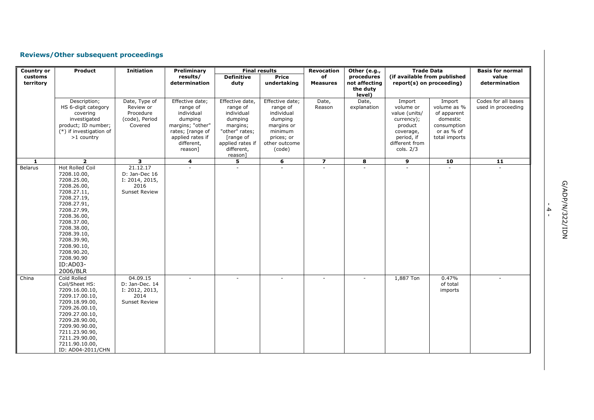# **Reviews/Other subsequent proceedings**

| <b>Country or</b>    | Product                                                                                                                                                                                                                                                                        | <b>Initiation</b>                                                            | Preliminary                                                                                                                               | <b>Final results</b>                                                                                                                         |                                                                                                                        | <b>Revocation</b>        | Other (e.g.,                                      | <b>Trade Data</b>                                                                                                       |                                                                                                | <b>Basis for normal</b>                   |
|----------------------|--------------------------------------------------------------------------------------------------------------------------------------------------------------------------------------------------------------------------------------------------------------------------------|------------------------------------------------------------------------------|-------------------------------------------------------------------------------------------------------------------------------------------|----------------------------------------------------------------------------------------------------------------------------------------------|------------------------------------------------------------------------------------------------------------------------|--------------------------|---------------------------------------------------|-------------------------------------------------------------------------------------------------------------------------|------------------------------------------------------------------------------------------------|-------------------------------------------|
| customs<br>territory |                                                                                                                                                                                                                                                                                |                                                                              | results/<br>determination                                                                                                                 | <b>Definitive</b><br>duty                                                                                                                    | <b>Price</b><br>undertaking                                                                                            | of<br><b>Measures</b>    | procedures<br>not affecting<br>the duty<br>level) | (if available from published<br>report(s) on proceeding)                                                                |                                                                                                | value<br>determination                    |
|                      | Description;<br>HS 6-digit category<br>covering<br>investigated<br>product; ID number;<br>(*) if investigation of<br>$>1$ country                                                                                                                                              | Date, Type of<br>Review or<br>Procedure<br>(code), Period<br>Covered         | Effective date;<br>range of<br>individual<br>dumping<br>margins; "other"<br>rates; [range of<br>applied rates if<br>different,<br>reason] | Effective date,<br>range of<br>individual<br>dumping<br>margins;<br>"other" rates;<br>[range of<br>applied rates if<br>different,<br>reason] | Effective date;<br>range of<br>individual<br>dumping<br>margins or<br>minimum<br>prices; or<br>other outcome<br>(code) | Date,<br>Reason          | Date,<br>explanation                              | Import<br>volume or<br>value (units/<br>currency);<br>product<br>coverage,<br>period, if<br>different from<br>cols. 2/3 | Import<br>volume as %<br>of apparent<br>domestic<br>consumption<br>or as % of<br>total imports | Codes for all bases<br>used in proceeding |
| -1                   | $\overline{2}$                                                                                                                                                                                                                                                                 | 3                                                                            | 4                                                                                                                                         | 5                                                                                                                                            | 6                                                                                                                      | $\overline{\mathbf{z}}$  | 8                                                 | 9                                                                                                                       | 10                                                                                             | 11                                        |
| Belarus              | <b>Hot Rolled Coil</b><br>7208.10.00,<br>7208.25.00,<br>7208.26.00,<br>7208.27.11,<br>7208.27.19,<br>7208.27.91,<br>7208.27.99,<br>7208.36.00,<br>7208.37.00,<br>7208.38.00,<br>7208.39.10,<br>7208.39.90,<br>7208.90.10,<br>7208.90.20,<br>7208.90.90<br>ID:AD03-<br>2006/BLR | 21.12.17<br>D: Jan-Dec 16<br>I: 2014, 2015,<br>2016<br><b>Sunset Review</b>  |                                                                                                                                           |                                                                                                                                              | $\mathbf{r}$                                                                                                           |                          |                                                   | $\mathbf{r}$                                                                                                            |                                                                                                |                                           |
| China                | Cold Rolled<br>Coil/Sheet HS:<br>7209.16.00.10,<br>7209.17.00.10,<br>7209.18.99.00,<br>7209.26.00.10,<br>7209.27.00.10,<br>7209.28.90.00,<br>7209.90.90.00,<br>7211.23.90.90,<br>7211.29.90.00,<br>7211.90.10.00,<br>ID: AD04-2011/CHN                                         | 04.09.15<br>D: Jan-Dec. 14<br>I: 2012, 2013,<br>2014<br><b>Sunset Review</b> |                                                                                                                                           | $\overline{\phantom{0}}$                                                                                                                     | $\sim$                                                                                                                 | $\overline{\phantom{a}}$ | $\sim$                                            | 1,887 Ton                                                                                                               | 0.47%<br>of total<br>imports                                                                   |                                           |

- 4 -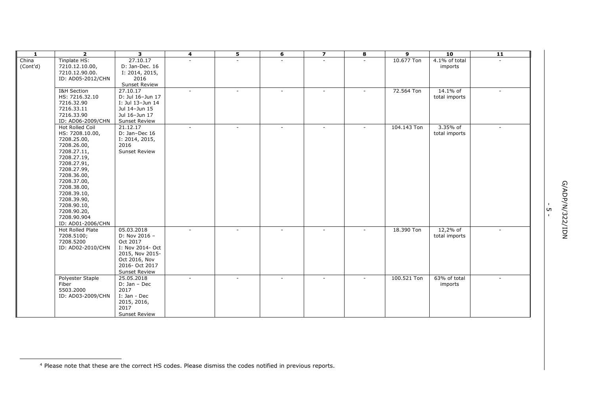| $\mathbf{1}$ | $\overline{2}$    | 3                    | 4      | 5      | 6            | $\overline{\mathbf{z}}$  | 8                        | 9           | 10            | $\overline{11}$ |
|--------------|-------------------|----------------------|--------|--------|--------------|--------------------------|--------------------------|-------------|---------------|-----------------|
| China        | Tinplate HS:      | 27.10.17             |        | ш.     | $\mathbf{r}$ | $\sim$                   | $\sim$                   | 10.677 Ton  | 4.1% of total | $\mathbf{r}$    |
| (Cont'd)     | 7210.12.10.00,    | D: Jan-Dec. 16       |        |        |              |                          |                          |             | imports       |                 |
|              | 7210.12.90.00.    | I: 2014, 2015,       |        |        |              |                          |                          |             |               |                 |
|              | ID: AD05-2012/CHN | 2016                 |        |        |              |                          |                          |             |               |                 |
|              |                   | <b>Sunset Review</b> |        |        |              |                          |                          |             |               |                 |
|              | I&H Section       | 27.10.17             | $\sim$ | $\sim$ | $\sim$       | $\sim$                   | $\sim$                   | 72.564 Ton  | 14.1% of      | $\sim$          |
|              | HS: 7216.32.10    | D: Jul 16-Jun 17     |        |        |              |                          |                          |             | total imports |                 |
|              | 7216.32.90        | I: Jul 13-Jun 14     |        |        |              |                          |                          |             |               |                 |
|              | 7216.33.11        | Jul 14-Jun 15        |        |        |              |                          |                          |             |               |                 |
|              | 7216.33.90        | Jul 16-Jun 17        |        |        |              |                          |                          |             |               |                 |
|              | ID: AD06-2009/CHN | <b>Sunset Review</b> |        |        |              |                          |                          |             |               |                 |
|              | Hot Rolled Coil   | 21.12.17             |        | ÷.     | $\sim$       | $\sim$                   | ٠                        | 104.143 Ton | 3.35% of      | $\sim$          |
|              | HS: 7208.10.00,   | D: Jan-Dec 16        |        |        |              |                          |                          |             | total imports |                 |
|              | 7208.25.00,       | I: 2014, 2015,       |        |        |              |                          |                          |             |               |                 |
|              | 7208.26.00,       | 2016                 |        |        |              |                          |                          |             |               |                 |
|              | 7208.27.11,       | Sunset Review        |        |        |              |                          |                          |             |               |                 |
|              | 7208.27.19,       |                      |        |        |              |                          |                          |             |               |                 |
|              | 7208.27.91,       |                      |        |        |              |                          |                          |             |               |                 |
|              | 7208.27.99,       |                      |        |        |              |                          |                          |             |               |                 |
|              | 7208.36.00,       |                      |        |        |              |                          |                          |             |               |                 |
|              | 7208.37.00,       |                      |        |        |              |                          |                          |             |               |                 |
|              | 7208.38.00,       |                      |        |        |              |                          |                          |             |               |                 |
|              | 7208.39.10,       |                      |        |        |              |                          |                          |             |               |                 |
|              | 7208.39.90,       |                      |        |        |              |                          |                          |             |               |                 |
|              | 7208.90.10,       |                      |        |        |              |                          |                          |             |               |                 |
|              | 7208.90.20,       |                      |        |        |              |                          |                          |             |               |                 |
|              | 7208.90.904       |                      |        |        |              |                          |                          |             |               |                 |
|              | ID: AD01-2006/CHN |                      |        |        |              |                          |                          |             |               |                 |
|              | Hot Rolled Plate  | 05.03.2018           | $\sim$ | ٠      | $\sim$       | $\overline{\phantom{a}}$ | $\overline{\phantom{a}}$ | 18.390 Ton  | 12,2% of      |                 |
|              | 7208.5100;        | D: Nov 2016 -        |        |        |              |                          |                          |             | total imports |                 |
|              | 7208.5200         | Oct 2017             |        |        |              |                          |                          |             |               |                 |
|              | ID: AD02-2010/CHN | I: Nov 2014- Oct     |        |        |              |                          |                          |             |               |                 |
|              |                   | 2015, Nov 2015-      |        |        |              |                          |                          |             |               |                 |
|              |                   | Oct 2016, Nov        |        |        |              |                          |                          |             |               |                 |
|              |                   | 2016- Oct 2017       |        |        |              |                          |                          |             |               |                 |
|              |                   | <b>Sunset Review</b> |        |        |              |                          |                          |             |               |                 |
|              | Polyester Staple  | 25.05.2018           |        |        | $\sim$       |                          |                          | 100.521 Ton | 63% of total  |                 |
|              | Fiber             | D: Jan - Dec         |        |        |              |                          |                          |             | imports       |                 |
|              | 5503.2000         | 2017                 |        |        |              |                          |                          |             |               |                 |
|              | ID: AD03-2009/CHN | I: Jan - Dec         |        |        |              |                          |                          |             |               |                 |
|              |                   | 2015, 2016,          |        |        |              |                          |                          |             |               |                 |
|              |                   | 2017                 |        |        |              |                          |                          |             |               |                 |
|              |                   | <b>Sunset Review</b> |        |        |              |                          |                          |             |               |                 |

ł

י<br>- 5

<sup>4</sup> Please note that these are the correct HS codes. Please dismiss the codes notified in previous reports.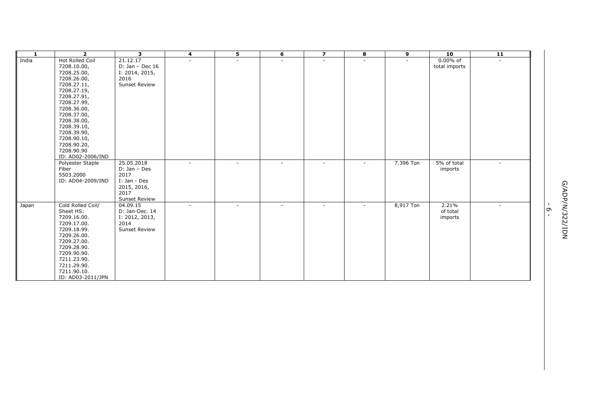| 1     | $\overline{\mathbf{2}}$        | 3                                | 4                        | 5                        | 6      | $\overline{\mathbf{z}}$  | 8                        | 9         | 10                | 11     |                |               |
|-------|--------------------------------|----------------------------------|--------------------------|--------------------------|--------|--------------------------|--------------------------|-----------|-------------------|--------|----------------|---------------|
| India | Hot Rolled Coil                | 21.12.17                         | $\sim$                   | $\sim$                   | $\sim$ | $\sim$                   | $\sim$                   |           | $0.00\%$ of       |        |                |               |
|       | 7208.10.00,                    | $D: Jan - Dec 16$                |                          |                          |        |                          |                          |           | total imports     |        |                |               |
|       | 7208.25.00,                    | I: 2014, 2015,                   |                          |                          |        |                          |                          |           |                   |        |                |               |
|       | 7208.26.00,                    | 2016                             |                          |                          |        |                          |                          |           |                   |        |                |               |
|       | 7208.27.11,                    | <b>Sunset Review</b>             |                          |                          |        |                          |                          |           |                   |        |                |               |
|       | 7208.27.19,                    |                                  |                          |                          |        |                          |                          |           |                   |        |                |               |
|       | 7208.27.91,                    |                                  |                          |                          |        |                          |                          |           |                   |        |                |               |
|       | 7208.27.99,                    |                                  |                          |                          |        |                          |                          |           |                   |        |                |               |
|       | 7208.36.00,                    |                                  |                          |                          |        |                          |                          |           |                   |        |                |               |
|       | 7208.37.00,                    |                                  |                          |                          |        |                          |                          |           |                   |        |                |               |
|       | 7208.38.00,                    |                                  |                          |                          |        |                          |                          |           |                   |        |                |               |
|       | 7208.39.10,                    |                                  |                          |                          |        |                          |                          |           |                   |        |                |               |
|       | 7208.39.90,                    |                                  |                          |                          |        |                          |                          |           |                   |        |                |               |
|       | 7208.90.10,                    |                                  |                          |                          |        |                          |                          |           |                   |        |                |               |
|       | 7208.90.20,                    |                                  |                          |                          |        |                          |                          |           |                   |        |                |               |
|       | 7208.90.90                     |                                  |                          |                          |        |                          |                          |           |                   |        |                |               |
|       | ID: AD02-2006/IND              |                                  |                          |                          |        |                          |                          |           |                   |        |                |               |
|       | Polyester Staple               | 25.05.2018                       | $\sim$                   | ٠                        | $\sim$ | $\sim$                   | $\sim$                   | 7.396 Ton | 5% of total       | $\sim$ |                |               |
|       | Fiber                          | D: Jan - Des                     |                          |                          |        |                          |                          |           | imports           |        |                |               |
|       | 5503.2000                      | 2017                             |                          |                          |        |                          |                          |           |                   |        |                |               |
|       | ID: AD04-2009/IND              | I: Jan - Des                     |                          |                          |        |                          |                          |           |                   |        |                |               |
|       |                                | 2015, 2016,<br>2017              |                          |                          |        |                          |                          |           |                   |        |                |               |
|       |                                |                                  |                          |                          |        |                          |                          |           |                   |        |                |               |
|       |                                | <b>Sunset Review</b><br>04.09.15 |                          |                          |        |                          |                          |           |                   |        | $\blacksquare$ | G/ADP/N/3     |
| Japan | Cold Rolled Coil/<br>Sheet HS: |                                  | $\overline{\phantom{a}}$ | $\overline{\phantom{a}}$ | $\sim$ | $\overline{\phantom{a}}$ | $\overline{\phantom{a}}$ | 8,917 Ton | 2.21%<br>of total | $\sim$ | G              |               |
|       |                                | D: Jan-Dec. 14                   |                          |                          |        |                          |                          |           |                   |        | $\mathbf{I}$   |               |
|       | 7209.16.00.<br>7209.17.00.     | I: 2012, 2013,<br>2014           |                          |                          |        |                          |                          |           | imports           |        |                | <b>22/IDN</b> |
|       | 7209.18.99.                    | <b>Sunset Review</b>             |                          |                          |        |                          |                          |           |                   |        |                |               |
|       | 7209.26.00.                    |                                  |                          |                          |        |                          |                          |           |                   |        |                |               |
|       | 7209.27.00.                    |                                  |                          |                          |        |                          |                          |           |                   |        |                |               |
|       | 7209.28.90.                    |                                  |                          |                          |        |                          |                          |           |                   |        |                |               |
|       | 7209.90.90.                    |                                  |                          |                          |        |                          |                          |           |                   |        |                |               |
|       | 7211.23.90.                    |                                  |                          |                          |        |                          |                          |           |                   |        |                |               |
|       | 7211.29.90.                    |                                  |                          |                          |        |                          |                          |           |                   |        |                |               |
|       | 7211.90.10.                    |                                  |                          |                          |        |                          |                          |           |                   |        |                |               |
|       | ID: AD03-2011/JPN              |                                  |                          |                          |        |                          |                          |           |                   |        |                |               |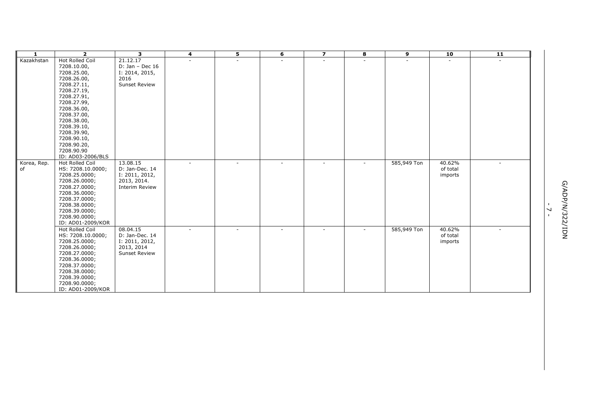| 1           | $\overline{2}$         | 3                     | 4                        | 5                        | 6      | $\overline{\mathbf{z}}$  | 8      | 9           | 10       | 11     |                |
|-------------|------------------------|-----------------------|--------------------------|--------------------------|--------|--------------------------|--------|-------------|----------|--------|----------------|
| Kazakhstan  | <b>Hot Rolled Coil</b> | 21.12.17              |                          |                          |        |                          |        |             |          |        |                |
|             | 7208.10.00,            | D: Jan - Dec $16$     |                          |                          |        |                          |        |             |          |        |                |
|             | 7208.25.00,            | I: 2014, 2015,        |                          |                          |        |                          |        |             |          |        |                |
|             | 7208.26.00,            | 2016                  |                          |                          |        |                          |        |             |          |        |                |
|             | 7208.27.11,            | Sunset Review         |                          |                          |        |                          |        |             |          |        |                |
|             | 7208.27.19,            |                       |                          |                          |        |                          |        |             |          |        |                |
|             | 7208.27.91,            |                       |                          |                          |        |                          |        |             |          |        |                |
|             | 7208.27.99,            |                       |                          |                          |        |                          |        |             |          |        |                |
|             | 7208.36.00,            |                       |                          |                          |        |                          |        |             |          |        |                |
|             | 7208.37.00,            |                       |                          |                          |        |                          |        |             |          |        |                |
|             | 7208.38.00,            |                       |                          |                          |        |                          |        |             |          |        |                |
|             | 7208.39.10,            |                       |                          |                          |        |                          |        |             |          |        |                |
|             | 7208.39.90,            |                       |                          |                          |        |                          |        |             |          |        |                |
|             | 7208.90.10,            |                       |                          |                          |        |                          |        |             |          |        |                |
|             | 7208.90.20,            |                       |                          |                          |        |                          |        |             |          |        |                |
|             | 7208.90.90             |                       |                          |                          |        |                          |        |             |          |        |                |
|             | ID: AD03-2006/BLS      |                       |                          |                          |        |                          |        |             |          |        |                |
| Korea, Rep. | Hot Rolled Coil        | 13.08.15              | $\overline{\phantom{a}}$ | $\overline{\phantom{a}}$ | $\sim$ | $\overline{\phantom{a}}$ | $\sim$ | 585,949 Ton | 40.62%   | $\sim$ |                |
| of          | HS: 7208.10.0000;      | D: Jan-Dec. 14        |                          |                          |        |                          |        |             | of total |        |                |
|             | 7208.25.0000;          | I: 2011, 2012,        |                          |                          |        |                          |        |             | imports  |        |                |
|             | 7208.26.0000;          | 2013, 2014.           |                          |                          |        |                          |        |             |          |        |                |
|             | 7208.27.0000;          | <b>Interim Review</b> |                          |                          |        |                          |        |             |          |        |                |
|             | 7208.36.0000;          |                       |                          |                          |        |                          |        |             |          |        |                |
|             | 7208.37.0000;          |                       |                          |                          |        |                          |        |             |          |        |                |
|             | 7208.38.0000;          |                       |                          |                          |        |                          |        |             |          |        |                |
|             | 7208.39.0000;          |                       |                          |                          |        |                          |        |             |          |        | G/ADP/N/3<br>↘ |
|             | 7208.90.0000;          |                       |                          |                          |        |                          |        |             |          |        | $\mathbf{L}$   |
|             | ID: AD01-2009/KOR      |                       |                          |                          |        |                          |        |             |          |        |                |
|             | Hot Rolled Coil        | 08.04.15              | $\overline{\phantom{a}}$ | ۰                        | ٠      | $\overline{\phantom{a}}$ |        | 585,949 Ton | 40.62%   | $\sim$ | <b>ZZ/IDN</b>  |
|             | HS: 7208.10.0000;      | D: Jan-Dec. 14        |                          |                          |        |                          |        |             | of total |        |                |
|             | 7208.25.0000;          | I: 2011, 2012,        |                          |                          |        |                          |        |             | imports  |        |                |
|             | 7208.26.0000;          | 2013, 2014            |                          |                          |        |                          |        |             |          |        |                |
|             | 7208.27.0000;          | <b>Sunset Review</b>  |                          |                          |        |                          |        |             |          |        |                |
|             | 7208.36.0000;          |                       |                          |                          |        |                          |        |             |          |        |                |
|             | 7208.37.0000;          |                       |                          |                          |        |                          |        |             |          |        |                |
|             | 7208.38.0000;          |                       |                          |                          |        |                          |        |             |          |        |                |
|             | 7208.39.0000;          |                       |                          |                          |        |                          |        |             |          |        |                |
|             | 7208.90.0000;          |                       |                          |                          |        |                          |        |             |          |        |                |
|             | ID: AD01-2009/KOR      |                       |                          |                          |        |                          |        |             |          |        |                |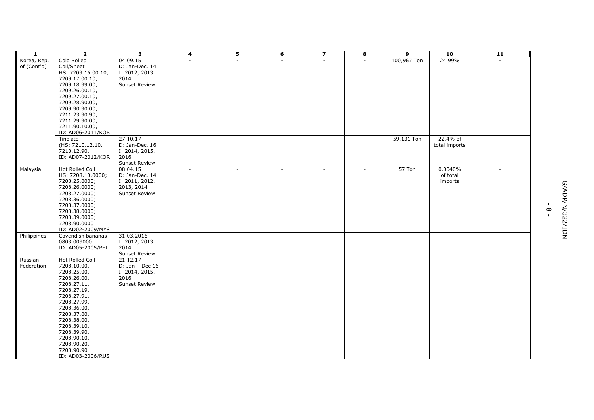| $\mathbf{1}$               | $\overline{2}$                                                                                                                                                                                                                                                              | 3                                                                                  | 4                        | $\overline{\mathbf{5}}$ | 6      | $\overline{\mathbf{z}}$  | $\overline{\mathbf{8}}$  | $\overline{9}$ | 10                             | $\overline{11}$ |                                          |                 |
|----------------------------|-----------------------------------------------------------------------------------------------------------------------------------------------------------------------------------------------------------------------------------------------------------------------------|------------------------------------------------------------------------------------|--------------------------|-------------------------|--------|--------------------------|--------------------------|----------------|--------------------------------|-----------------|------------------------------------------|-----------------|
| Korea, Rep.<br>of (Cont'd) | Cold Rolled<br>Coil/Sheet<br>HS: 7209.16.00.10,<br>7209.17.00.10,<br>7209.18.99.00,<br>7209.26.00.10,<br>7209.27.00.10,<br>7209.28.90.00,<br>7209.90.90.00,<br>7211.23.90.90,<br>7211.29.90.00,                                                                             | 04.09.15<br>D: Jan-Dec. 14<br>I: 2012, 2013,<br>2014<br><b>Sunset Review</b>       | ÷.                       | $\sim$                  | $\sim$ | $\sim$                   | $\overline{\phantom{a}}$ | 100,967 Ton    | 24.99%                         | $\sim$          |                                          |                 |
|                            | 7211.90.10.00,<br>ID: AD06-2011/KOR<br>Tinplate<br>(HS: 7210.12.10.<br>7210.12.90.<br>ID: AD07-2012/KOR                                                                                                                                                                     | 27.10.17<br>D: Jan-Dec. 16<br>I: 2014, 2015,<br>2016<br>Sunset Review              | $\sim$                   | $\sim$                  | $\sim$ | $\sim$                   | ٠                        | 59.131 Ton     | 22.4% of<br>total imports      | $\sim$          |                                          |                 |
| Malaysia                   | <b>Hot Rolled Coil</b><br>HS: 7208.10.0000;<br>7208.25.0000;<br>7208.26.0000;<br>7208.27.0000;<br>7208.36.0000;<br>7208.37.0000;<br>7208.38.0000;<br>7208.39.0000;<br>7208.90.0000<br>ID: AD02-2009/MYS                                                                     | 08.04.15<br>D: Jan-Dec. 14<br>I: 2011, 2012,<br>2013, 2014<br><b>Sunset Review</b> | $\overline{\phantom{a}}$ | ÷.                      |        |                          |                          | 57 Ton         | 0.0040%<br>of total<br>imports | $\sim$          | $\mathbf{I}$<br>$\infty$<br>$\mathbf{L}$ | G/ADP/N/322/IDN |
| Philippines                | Cavendish bananas<br>0803.009000<br>ID: AD05-2005/PHL                                                                                                                                                                                                                       | 31.03.2016<br>I: 2012, 2013,<br>2014<br>Sunset Review                              | ÷.                       |                         |        | $\overline{\phantom{a}}$ | $\sim$                   |                |                                | ÷.              |                                          |                 |
| Russian<br>Federation      | <b>Hot Rolled Coil</b><br>7208.10.00,<br>7208.25.00,<br>7208.26.00,<br>7208.27.11,<br>7208.27.19,<br>7208.27.91,<br>7208.27.99,<br>7208.36.00,<br>7208.37.00,<br>7208.38.00,<br>7208.39.10,<br>7208.39.90,<br>7208.90.10,<br>7208.90.20,<br>7208.90.90<br>ID: AD03-2006/RUS | 21.12.17<br>$D: Jan - Dec 16$<br>I: 2014, 2015,<br>2016<br><b>Sunset Review</b>    | ÷.                       |                         |        |                          |                          |                |                                |                 |                                          |                 |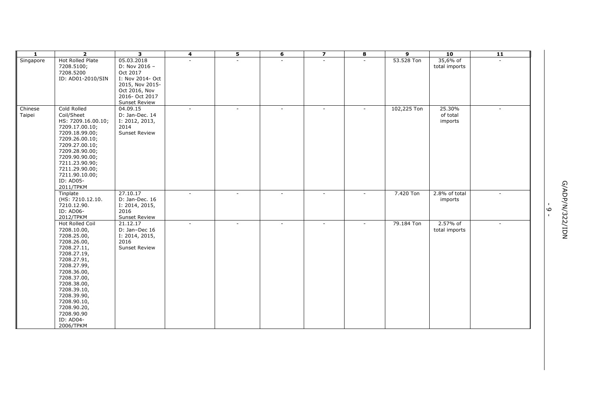| 1         | $\overline{2}$                  | 3                          | 4      | $\overline{\mathbf{5}}$  | 6      | $\overline{\mathbf{z}}$  | 8                        | $\overline{9}$ | 10            | $\overline{11}$ |                |                 |
|-----------|---------------------------------|----------------------------|--------|--------------------------|--------|--------------------------|--------------------------|----------------|---------------|-----------------|----------------|-----------------|
| Singapore | Hot Rolled Plate                | 05.03.2018                 |        | ÷.                       | ä,     | ä,                       | $\overline{\phantom{a}}$ | 53.528 Ton     | 35,6% of      |                 |                |                 |
|           | 7208.5100;                      | D: Nov 2016 -              |        |                          |        |                          |                          |                | total imports |                 |                |                 |
|           | 7208.5200                       | Oct 2017                   |        |                          |        |                          |                          |                |               |                 |                |                 |
|           | ID: AD01-2010/SIN               | I: Nov 2014- Oct           |        |                          |        |                          |                          |                |               |                 |                |                 |
|           |                                 | 2015, Nov 2015-            |        |                          |        |                          |                          |                |               |                 |                |                 |
|           |                                 | Oct 2016, Nov              |        |                          |        |                          |                          |                |               |                 |                |                 |
|           |                                 | 2016- Oct 2017             |        |                          |        |                          |                          |                |               |                 |                |                 |
|           |                                 | Sunset Review              |        |                          |        |                          |                          |                |               |                 |                |                 |
| Chinese   | Cold Rolled                     | 04.09.15                   | $\sim$ | $\sim$                   | $\sim$ | $\blacksquare$           | $\sim$                   | 102,225 Ton    | 25.30%        | $\sim$          |                |                 |
| Taipei    | Coil/Sheet                      | D: Jan-Dec. 14             |        |                          |        |                          |                          |                | of total      |                 |                |                 |
|           | HS: 7209.16.00.10;              | I: 2012, 2013,             |        |                          |        |                          |                          |                | imports       |                 |                |                 |
|           | 7209.17.00.10;                  | 2014                       |        |                          |        |                          |                          |                |               |                 |                |                 |
|           | 7209.18.99.00;                  | <b>Sunset Review</b>       |        |                          |        |                          |                          |                |               |                 |                |                 |
|           | 7209.26.00.10;                  |                            |        |                          |        |                          |                          |                |               |                 |                |                 |
|           | 7209.27.00.10;                  |                            |        |                          |        |                          |                          |                |               |                 |                |                 |
|           | 7209.28.90.00;                  |                            |        |                          |        |                          |                          |                |               |                 |                |                 |
|           | 7209.90.90.00;                  |                            |        |                          |        |                          |                          |                |               |                 |                |                 |
|           | 7211.23.90.90;                  |                            |        |                          |        |                          |                          |                |               |                 |                |                 |
|           | 7211.29.90.00;                  |                            |        |                          |        |                          |                          |                |               |                 |                |                 |
|           | 7211.90.10.00;                  |                            |        |                          |        |                          |                          |                |               |                 |                |                 |
|           | ID: AD05-                       |                            |        |                          |        |                          |                          |                |               |                 |                |                 |
|           | 2011/TPKM                       |                            |        |                          |        |                          |                          |                |               |                 |                |                 |
|           | Tinplate                        | 27.10.17<br>D: Jan-Dec. 16 | $\sim$ | $\overline{\phantom{a}}$ | ٠      | $\overline{\phantom{a}}$ | $\overline{\phantom{a}}$ | 7.420 Ton      | 2.8% of total | $\sim$          |                | G/ADP/N/322/IDN |
|           | (HS: 7210.12.10.<br>7210.12.90. |                            |        |                          |        |                          |                          |                | imports       |                 | $\blacksquare$ |                 |
|           | ID: AD06-                       | I: 2014, 2015,<br>2016     |        |                          |        |                          |                          |                |               |                 |                |                 |
|           | 2012/TPKM                       | Sunset Review              |        |                          |        |                          |                          |                |               |                 | ە -            |                 |
|           | Hot Rolled Coil                 | 21.12.17                   | $\sim$ | $\sim$                   | $\sim$ | $\sim$                   | $\sim$                   | 79.184 Ton     | 2.57% of      | $\sim$          |                |                 |
|           | 7208.10.00,                     | D: Jan-Dec 16              |        |                          |        |                          |                          |                | total imports |                 |                |                 |
|           | 7208.25.00,                     | I: 2014, 2015,             |        |                          |        |                          |                          |                |               |                 |                |                 |
|           | 7208.26.00,                     | 2016                       |        |                          |        |                          |                          |                |               |                 |                |                 |
|           | 7208.27.11,                     | <b>Sunset Review</b>       |        |                          |        |                          |                          |                |               |                 |                |                 |
|           | 7208.27.19,                     |                            |        |                          |        |                          |                          |                |               |                 |                |                 |
|           | 7208.27.91,                     |                            |        |                          |        |                          |                          |                |               |                 |                |                 |
|           | 7208.27.99,                     |                            |        |                          |        |                          |                          |                |               |                 |                |                 |
|           | 7208.36.00,                     |                            |        |                          |        |                          |                          |                |               |                 |                |                 |
|           | 7208.37.00,                     |                            |        |                          |        |                          |                          |                |               |                 |                |                 |
|           | 7208.38.00,                     |                            |        |                          |        |                          |                          |                |               |                 |                |                 |
|           | 7208.39.10,                     |                            |        |                          |        |                          |                          |                |               |                 |                |                 |
|           | 7208.39.90,                     |                            |        |                          |        |                          |                          |                |               |                 |                |                 |
|           | 7208.90.10,                     |                            |        |                          |        |                          |                          |                |               |                 |                |                 |
|           | 7208.90.20,                     |                            |        |                          |        |                          |                          |                |               |                 |                |                 |
|           | 7208.90.90                      |                            |        |                          |        |                          |                          |                |               |                 |                |                 |
|           | ID: AD04-                       |                            |        |                          |        |                          |                          |                |               |                 |                |                 |
|           | 2006/TPKM                       |                            |        |                          |        |                          |                          |                |               |                 |                |                 |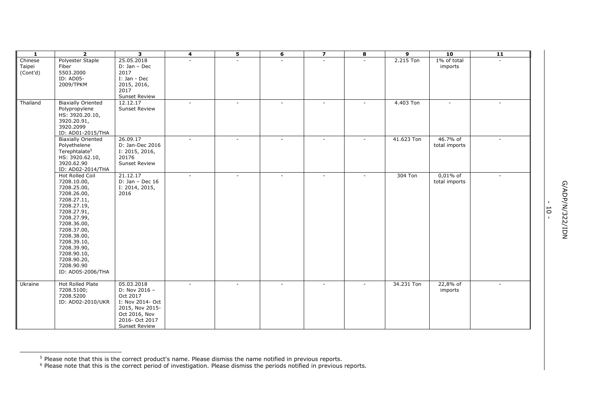| -1       | $\overline{2}$             | 3                    | 4      | 5      | 6                        | $\overline{\mathbf{z}}$ | 8      | 9          | 10            | 11           |
|----------|----------------------------|----------------------|--------|--------|--------------------------|-------------------------|--------|------------|---------------|--------------|
| Chinese  | Polyester Staple           | 25.05.2018           |        |        |                          |                         | ÷.     | 2.215 Ton  | 1% of total   | $\mathbf{r}$ |
| Taipei   | Fiber                      | D: Jan - Dec         |        |        |                          |                         |        |            | imports       |              |
| (Cont'd) | 5503.2000                  | 2017                 |        |        |                          |                         |        |            |               |              |
|          | ID: AD05-                  | I: Jan - Dec         |        |        |                          |                         |        |            |               |              |
|          | 2009/TPKM                  | 2015, 2016,          |        |        |                          |                         |        |            |               |              |
|          |                            | 2017                 |        |        |                          |                         |        |            |               |              |
|          |                            | <b>Sunset Review</b> |        |        |                          |                         |        |            |               |              |
| Thailand | <b>Biaxially Oriented</b>  | 12.12.17             |        |        | $\sim$                   |                         |        | 4.403 Ton  |               |              |
|          | Polypropylene              | <b>Sunset Review</b> |        |        |                          |                         |        |            |               |              |
|          | HS: 3920.20.10,            |                      |        |        |                          |                         |        |            |               |              |
|          | 3920.20.91,                |                      |        |        |                          |                         |        |            |               |              |
|          | 3920.2099                  |                      |        |        |                          |                         |        |            |               |              |
|          | ID: AD01-2015/THA          |                      |        |        |                          |                         |        |            |               |              |
|          | <b>Biaxially Oriented</b>  | 26.09.17             |        | $\sim$ | $\sim$                   | $\sim$                  | $\sim$ | 41.623 Ton | 46.7% of      | ÷.           |
|          | Polyethelene               | D: Jan-Dec 2016      |        |        |                          |                         |        |            | total imports |              |
|          | Terephtalate <sup>5</sup>  | I: 2015, 2016,       |        |        |                          |                         |        |            |               |              |
|          | HS: 3920.62.10,            | 20176                |        |        |                          |                         |        |            |               |              |
|          | 3920.62.90                 | <b>Sunset Review</b> |        |        |                          |                         |        |            |               |              |
|          | ID: AD02-2014/THA          |                      |        |        |                          |                         |        |            |               |              |
|          | Hot Rolled Coil            | 21.12.17             | $\sim$ | $\sim$ | $\sim$                   | $\sim$                  | $\sim$ | 304 Ton    | $0,01\%$ of   | $\sim$       |
|          | 7208.10.00,                | $D: Jan - Dec 16$    |        |        |                          |                         |        |            | total imports |              |
|          | 7208.25.00,                | I: 2014, 2015,       |        |        |                          |                         |        |            |               |              |
|          | 7208.26.00,                | 2016                 |        |        |                          |                         |        |            |               |              |
|          | 7208.27.11,                |                      |        |        |                          |                         |        |            |               |              |
|          | 7208.27.19,                |                      |        |        |                          |                         |        |            |               |              |
|          | 7208.27.91,<br>7208.27.99, |                      |        |        |                          |                         |        |            |               |              |
|          | 7208.36.00,                |                      |        |        |                          |                         |        |            |               |              |
|          | 7208.37.00,                |                      |        |        |                          |                         |        |            |               |              |
|          | 7208.38.00,                |                      |        |        |                          |                         |        |            |               |              |
|          | 7208.39.10,                |                      |        |        |                          |                         |        |            |               |              |
|          | 7208.39.90,                |                      |        |        |                          |                         |        |            |               |              |
|          | 7208.90.10,                |                      |        |        |                          |                         |        |            |               |              |
|          | 7208.90.20,                |                      |        |        |                          |                         |        |            |               |              |
|          | 7208.90.90                 |                      |        |        |                          |                         |        |            |               |              |
|          | ID: AD05-2006/THA          |                      |        |        |                          |                         |        |            |               |              |
|          |                            |                      |        |        |                          |                         |        |            |               |              |
| Ukraine  | Hot Rolled Plate           | 05.03.2018           |        |        | $\overline{\phantom{a}}$ |                         | $\sim$ | 34.231 Ton | 22,8% of      | $\sim$       |
|          | 7208.5100;                 | D: Nov 2016 -        |        |        |                          |                         |        |            | imports       |              |
|          | 7208.5200                  | Oct 2017             |        |        |                          |                         |        |            |               |              |
|          | ID: AD02-2010/UKR          | I: Nov 2014- Oct     |        |        |                          |                         |        |            |               |              |
|          |                            | 2015, Nov 2015-      |        |        |                          |                         |        |            |               |              |
|          |                            | Oct 2016, Nov        |        |        |                          |                         |        |            |               |              |
|          |                            | 2016- Oct 2017       |        |        |                          |                         |        |            |               |              |
|          |                            | <b>Sunset Review</b> |        |        |                          |                         |        |            |               |              |

ł

- 10 -

<sup>&</sup>lt;sup>5</sup> Please note that this is the correct product's name. Please dismiss the name notified in previous reports.

 $6$  Please note that this is the correct period of investigation. Please dismiss the periods notified in previous reports.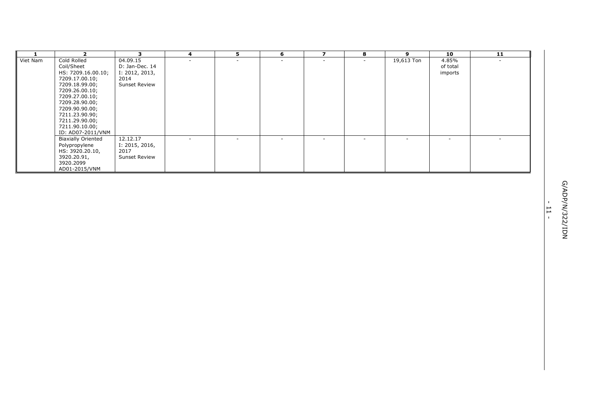| 1        | $\overline{2}$                                 | $\mathbf{3}$           | 4      | 5      | 6 | $\overline{ }$           | 8 | 9          | 10       | $\overline{11}$ |                         |
|----------|------------------------------------------------|------------------------|--------|--------|---|--------------------------|---|------------|----------|-----------------|-------------------------|
| Viet Nam | Cold Rolled                                    | 04.09.15               |        |        |   |                          |   | 19,613 Ton | 4.85%    | $\sim$          |                         |
|          | Coil/Sheet                                     | D: Jan-Dec. 14         |        |        |   |                          |   |            | of total |                 |                         |
|          | HS: 7209.16.00.10;<br>7209.17.00.10;           | I: 2012, 2013,<br>2014 |        |        |   |                          |   |            | imports  |                 |                         |
|          | 7209.18.99.00;                                 | Sunset Review          |        |        |   |                          |   |            |          |                 |                         |
|          | 7209.26.00.10;                                 |                        |        |        |   |                          |   |            |          |                 |                         |
|          | 7209.27.00.10;                                 |                        |        |        |   |                          |   |            |          |                 |                         |
|          | 7209.28.90.00;                                 |                        |        |        |   |                          |   |            |          |                 |                         |
|          | 7209.90.90.00;                                 |                        |        |        |   |                          |   |            |          |                 |                         |
|          | 7211.23.90.90;                                 |                        |        |        |   |                          |   |            |          |                 |                         |
|          | 7211.29.90.00;                                 |                        |        |        |   |                          |   |            |          |                 |                         |
|          | 7211.90.10.00;                                 |                        |        |        |   |                          |   |            |          |                 |                         |
|          | ID: AD07-2011/VNM<br><b>Biaxially Oriented</b> | 12.12.17               | $\sim$ | $\sim$ |   | $\overline{\phantom{a}}$ |   |            |          | $\sim$          |                         |
|          | Polypropylene                                  | I: 2015, 2016,         |        |        |   |                          |   |            |          |                 |                         |
|          | HS: 3920.20.10,                                | 2017                   |        |        |   |                          |   |            |          |                 |                         |
|          | 3920.20.91,                                    | Sunset Review          |        |        |   |                          |   |            |          |                 |                         |
|          | 3920.2099                                      |                        |        |        |   |                          |   |            |          |                 |                         |
|          | AD01-2015/VNM                                  |                        |        |        |   |                          |   |            |          |                 |                         |
|          |                                                |                        |        |        |   |                          |   |            |          |                 |                         |
|          |                                                |                        |        |        |   |                          |   |            |          |                 |                         |
|          |                                                |                        |        |        |   |                          |   |            |          |                 |                         |
|          |                                                |                        |        |        |   |                          |   |            |          |                 |                         |
|          |                                                |                        |        |        |   |                          |   |            |          |                 | $\blacksquare$          |
|          |                                                |                        |        |        |   |                          |   |            |          |                 | $\overline{\mathsf{L}}$ |
|          |                                                |                        |        |        |   |                          |   |            |          |                 | $\mathbf{I}$            |
|          |                                                |                        |        |        |   |                          |   |            |          |                 |                         |
|          |                                                |                        |        |        |   |                          |   |            |          |                 |                         |
|          |                                                |                        |        |        |   |                          |   |            |          |                 |                         |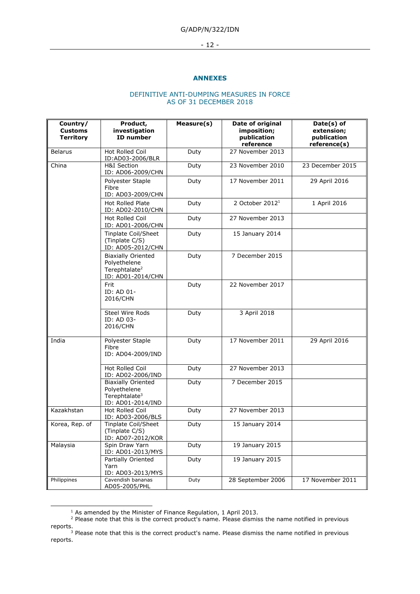#### - 12 -

#### **ANNEXES**

# DEFINITIVE ANTI-DUMPING MEASURES IN FORCE AS OF 31 DECEMBER 2018

| Country/<br><b>Customs</b><br><b>Territory</b> | Product,<br>investigation<br><b>ID</b> number                                               | Measure(s) | Date of original<br>imposition;<br>publication<br>reference | Date(s) of<br>extension;<br>publication<br>reference(s) |
|------------------------------------------------|---------------------------------------------------------------------------------------------|------------|-------------------------------------------------------------|---------------------------------------------------------|
| <b>Belarus</b>                                 | Hot Rolled Coil<br>ID:AD03-2006/BLR                                                         | Duty       | 27 November 2013                                            |                                                         |
| China                                          | <b>H&amp;I Section</b><br>ID: AD06-2009/CHN                                                 | Duty       | 23 November 2010                                            | 23 December 2015                                        |
|                                                | Polyester Staple<br>Fibre<br>ID: AD03-2009/CHN                                              | Duty       | 17 November 2011                                            | 29 April 2016                                           |
|                                                | <b>Hot Rolled Plate</b><br>ID: AD02-2010/CHN                                                | Duty       | 2 October 2012 <sup>1</sup>                                 | 1 April 2016                                            |
|                                                | <b>Hot Rolled Coil</b><br>ID: AD01-2006/CHN                                                 | Duty       | 27 November 2013                                            |                                                         |
|                                                | Tinplate Coil/Sheet<br>(Tinplate C/S)<br>ID: AD05-2012/CHN                                  | Duty       | 15 January 2014                                             |                                                         |
|                                                | <b>Biaxially Oriented</b><br>Polyethelene<br>Terephtalate <sup>2</sup><br>ID: AD01-2014/CHN | Duty       | 7 December 2015                                             |                                                         |
|                                                | Frit<br>ID: AD 01-<br>2016/CHN                                                              | Duty       | 22 November 2017                                            |                                                         |
|                                                | Steel Wire Rods<br>ID: AD 03-<br>2016/CHN                                                   | Duty       | 3 April 2018                                                |                                                         |
| India                                          | Polyester Staple<br>Fibre<br>ID: AD04-2009/IND                                              | Duty       | 17 November 2011                                            | 29 April 2016                                           |
|                                                | <b>Hot Rolled Coil</b><br>ID: AD02-2006/IND                                                 | Duty       | 27 November 2013                                            |                                                         |
|                                                | <b>Biaxially Oriented</b><br>Polyethelene<br>Terephtalate <sup>3</sup><br>ID: AD01-2014/IND | Duty       | 7 December 2015                                             |                                                         |
| Kazakhstan                                     | <b>Hot Rolled Coil</b><br>ID: AD03-2006/BLS                                                 | Duty       | 27 November 2013                                            |                                                         |
| Korea, Rep. of                                 | Tinplate Coil/Sheet<br>(Tinplate C/S)<br>ID: AD07-2012/KOR                                  | Duty       | 15 January 2014                                             |                                                         |
| Malaysia                                       | Spin Draw Yarn<br>ID: AD01-2013/MYS                                                         | Duty       | 19 January 2015                                             |                                                         |
|                                                | Partially Oriented<br>Yarn<br>ID: AD03-2013/MYS                                             | Duty       | 19 January 2015                                             |                                                         |
| Philippines                                    | Cavendish bananas<br>AD05-2005/PHL                                                          | Duty       | 28 September 2006                                           | 17 November 2011                                        |

 $1$  As amended by the Minister of Finance Regulation, 1 April 2013.

-

 $<sup>2</sup>$  Please note that this is the correct product's name. Please dismiss the name notified in previous</sup> reports.

 $3$  Please note that this is the correct product's name. Please dismiss the name notified in previous reports.